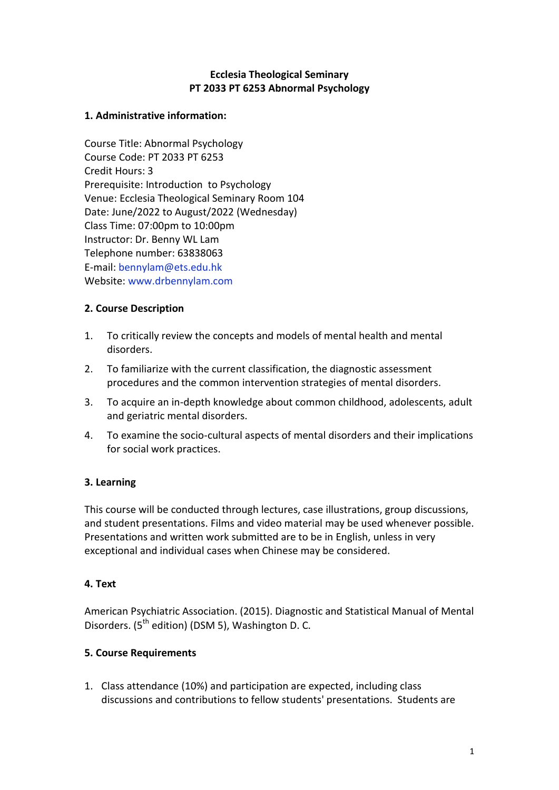### **Ecclesia Theological Seminary PT 2033 PT 6253 Abnormal Psychology**

#### **1. Administrative information:**

Course Title: Abnormal Psychology Course Code: PT 2033 PT 6253 Credit Hours: 3 Prerequisite: Introduction to Psychology Venue: Ecclesia Theological Seminary Room 104 Date: June/2022 to August/2022 (Wednesday) Class Time: 07:00pm to 10:00pm Instructor: Dr. Benny WL Lam Telephone number: 63838063 E-mail: [bennylam@ets.edu.hk](mailto:bennylam@ets.edu.hk) Website: [www.drbennylam.com](http://www.drbennylam.com/)

### **2. Course Description**

- 1. To critically review the concepts and models of mental health and mental disorders.
- 2. To familiarize with the current classification, the diagnostic assessment procedures and the common intervention strategies of mental disorders.
- 3. To acquire an in-depth knowledge about common childhood, adolescents, adult and geriatric mental disorders.
- 4. To examine the socio-cultural aspects of mental disorders and their implications for social work practices.

# **3. Learning**

This course will be conducted through lectures, case illustrations, group discussions, and student presentations. Films and video material may be used whenever possible. Presentations and written work submitted are to be in English, unless in very exceptional and individual cases when Chinese may be considered.

# **4. Text**

American Psychiatric Association. (2015). Diagnostic and Statistical Manual of Mental Disorders.  $(5<sup>th</sup>$  edition) (DSM 5), Washington D. C.

# **5. Course Requirements**

1. Class attendance (10%) and participation are expected, including class discussions and contributions to fellow students' presentations. Students are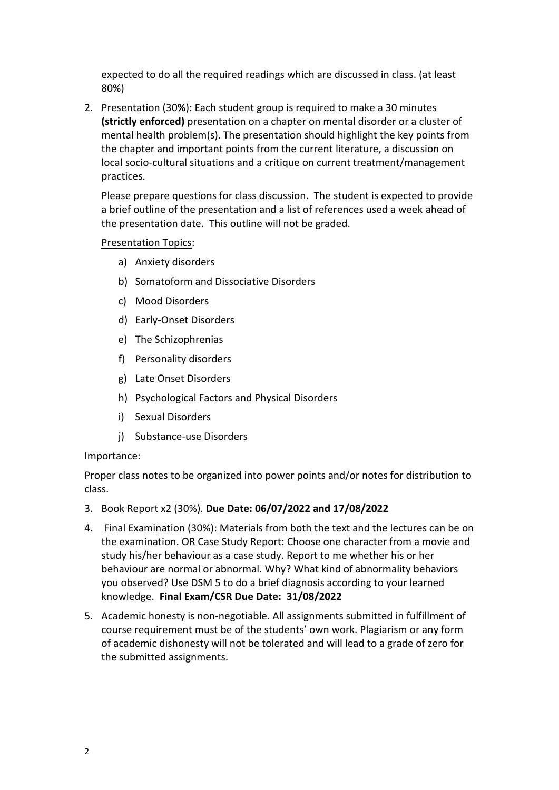expected to do all the required readings which are discussed in class. (at least 80%)

2. Presentation (30**%**): Each student group is required to make a 30 minutes **(strictly enforced)** presentation on a chapter on mental disorder or a cluster of mental health problem(s). The presentation should highlight the key points from the chapter and important points from the current literature, a discussion on local socio-cultural situations and a critique on current treatment/management practices.

Please prepare questions for class discussion. The student is expected to provide a brief outline of the presentation and a list of references used a week ahead of the presentation date. This outline will not be graded.

#### Presentation Topics:

- a) Anxiety disorders
- b) Somatoform and Dissociative Disorders
- c) Mood Disorders
- d) Early-Onset Disorders
- e) The Schizophrenias
- f) Personality disorders
- g) Late Onset Disorders
- h) Psychological Factors and Physical Disorders
- i) Sexual Disorders
- j) Substance-use Disorders

#### Importance:

Proper class notes to be organized into power points and/or notes for distribution to class.

- 3. Book Report x2 (30%). **Due Date: 06/07/2022 and 17/08/2022**
- 4. Final Examination (30%): Materials from both the text and the lectures can be on the examination. OR Case Study Report: Choose one character from a movie and study his/her behaviour as a case study. Report to me whether his or her behaviour are normal or abnormal. Why? What kind of abnormality behaviors you observed? Use DSM 5 to do a brief diagnosis according to your learned knowledge. **Final Exam/CSR Due Date: 31/08/2022**
- 5. Academic honesty is non-negotiable. All assignments submitted in fulfillment of course requirement must be of the students' own work. Plagiarism or any form of academic dishonesty will not be tolerated and will lead to a grade of zero for the submitted assignments.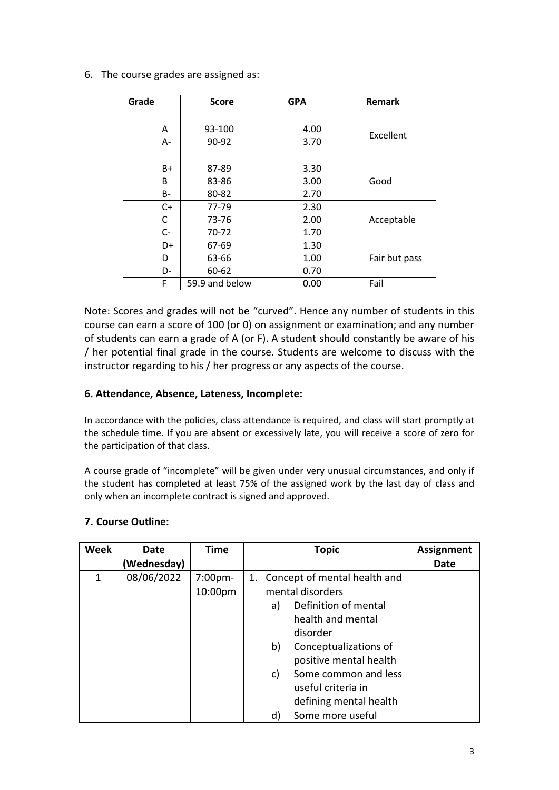6. The course grades are assigned as:

| Grade     | <b>Score</b>   | <b>GPA</b> | <b>Remark</b> |
|-----------|----------------|------------|---------------|
| A         | 93-100         | 4.00       |               |
| A-        | 90-92          | 3.70       | Excellent     |
| B+        | 87-89          | 3.30       |               |
| B         | 83-86          | 3.00       | Good          |
| <b>B-</b> | 80-82          | 2.70       |               |
| $C+$      | 77-79          | 2.30       |               |
| C         | 73-76          | 2.00       | Acceptable    |
| $C -$     | 70-72          | 1.70       |               |
| D+        | 67-69          | 1.30       |               |
| D         | 63-66          | 1.00       | Fair but pass |
| D-        | 60-62          | 0.70       |               |
| F         | 59.9 and below | 0.00       | Fail          |

Note: Scores and grades will not be "curved". Hence any number of students in this course can earn a score of 100 (or 0) on assignment or examination; and any number of students can earn a grade of A (or F). A student should constantly be aware of his / her potential final grade in the course. Students are welcome to discuss with the instructor regarding to his / her progress or any aspects of the course.

## **6. Attendance, Absence, Lateness, Incomplete:**

In accordance with the policies, class attendance is required, and class will start promptly at the schedule time. If you are absent or excessively late, you will receive a score of zero for the participation of that class.

A course grade of "incomplete" will be given under very unusual circumstances, and only if the student has completed at least 75% of the assigned work by the last day of class and only when an incomplete contract is signed and approved.

# **7. Course Outline:**

| <b>Week</b> | <b>Date</b> | <b>Time</b>        | <b>Topic</b>                                                                                                                                                                                                                                              | <b>Assignment</b> |
|-------------|-------------|--------------------|-----------------------------------------------------------------------------------------------------------------------------------------------------------------------------------------------------------------------------------------------------------|-------------------|
|             | Wednesday)  |                    |                                                                                                                                                                                                                                                           | Date              |
| 1           | 08/06/2022  | 7:00pm-<br>10:00pm | 1. Concept of mental health and<br>mental disorders<br>Definition of mental<br>a)<br>health and mental<br>disorder<br>Conceptualizations of<br>b)<br>positive mental health<br>Some common and less<br>c)<br>useful criteria in<br>defining mental health |                   |
|             |             |                    | Some more useful<br>d)                                                                                                                                                                                                                                    |                   |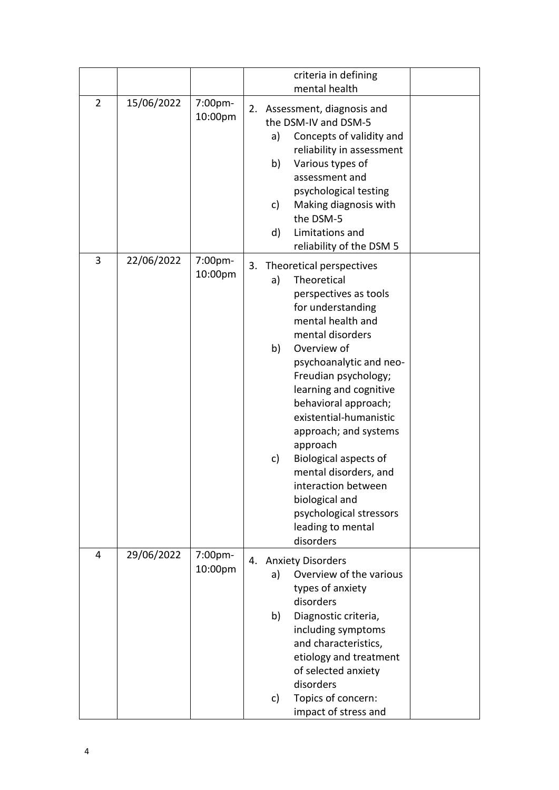|                |            |                    | criteria in defining<br>mental health                                                                                                                                                                                                                                                                                                                                                                                                                                                                    |
|----------------|------------|--------------------|----------------------------------------------------------------------------------------------------------------------------------------------------------------------------------------------------------------------------------------------------------------------------------------------------------------------------------------------------------------------------------------------------------------------------------------------------------------------------------------------------------|
| $\overline{2}$ | 15/06/2022 | 7:00pm-<br>10:00pm | 2. Assessment, diagnosis and<br>the DSM-IV and DSM-5<br>Concepts of validity and<br>a)<br>reliability in assessment<br>Various types of<br>b)<br>assessment and<br>psychological testing<br>Making diagnosis with<br>c)<br>the DSM-5<br>Limitations and<br>d)<br>reliability of the DSM 5                                                                                                                                                                                                                |
| 3              | 22/06/2022 | 7:00pm-<br>10:00pm | Theoretical perspectives<br>3.<br>Theoretical<br>a)<br>perspectives as tools<br>for understanding<br>mental health and<br>mental disorders<br>b)<br>Overview of<br>psychoanalytic and neo-<br>Freudian psychology;<br>learning and cognitive<br>behavioral approach;<br>existential-humanistic<br>approach; and systems<br>approach<br><b>Biological aspects of</b><br>c)<br>mental disorders, and<br>interaction between<br>biological and<br>psychological stressors<br>leading to mental<br>disorders |
| 4              | 29/06/2022 | 7:00pm-<br>10:00pm | <b>Anxiety Disorders</b><br>4.<br>Overview of the various<br>a)<br>types of anxiety<br>disorders<br>b)<br>Diagnostic criteria,<br>including symptoms<br>and characteristics,<br>etiology and treatment<br>of selected anxiety<br>disorders<br>Topics of concern:<br>c)<br>impact of stress and                                                                                                                                                                                                           |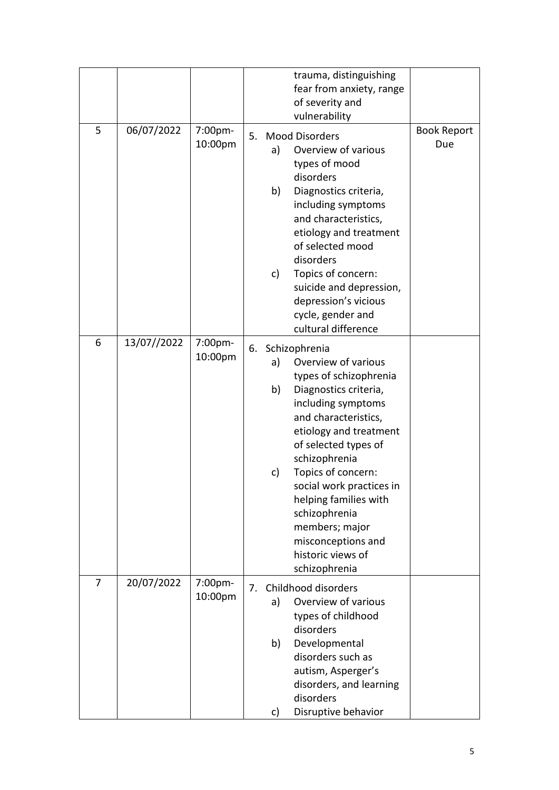|                |             |                    |    |                | trauma, distinguishing                                                                                                                                                                                                                                                                                                                                                                |                           |
|----------------|-------------|--------------------|----|----------------|---------------------------------------------------------------------------------------------------------------------------------------------------------------------------------------------------------------------------------------------------------------------------------------------------------------------------------------------------------------------------------------|---------------------------|
|                |             |                    |    |                | fear from anxiety, range<br>of severity and                                                                                                                                                                                                                                                                                                                                           |                           |
|                |             |                    |    |                | vulnerability                                                                                                                                                                                                                                                                                                                                                                         |                           |
| 5              | 06/07/2022  | 7:00pm-<br>10:00pm | 5. | a)<br>b)<br>c) | <b>Mood Disorders</b><br>Overview of various<br>types of mood<br>disorders<br>Diagnostics criteria,<br>including symptoms<br>and characteristics,<br>etiology and treatment<br>of selected mood<br>disorders<br>Topics of concern:<br>suicide and depression,<br>depression's vicious<br>cycle, gender and<br>cultural difference                                                     | <b>Book Report</b><br>Due |
| 6              | 13/07//2022 | 7:00pm-<br>10:00pm |    | a)<br>b)<br>c) | 6. Schizophrenia<br>Overview of various<br>types of schizophrenia<br>Diagnostics criteria,<br>including symptoms<br>and characteristics,<br>etiology and treatment<br>of selected types of<br>schizophrenia<br>Topics of concern:<br>social work practices in<br>helping families with<br>schizophrenia<br>members; major<br>misconceptions and<br>historic views of<br>schizophrenia |                           |
| $\overline{7}$ | 20/07/2022  | 7:00pm-<br>10:00pm | 7. | a)<br>b)<br>c) | Childhood disorders<br>Overview of various<br>types of childhood<br>disorders<br>Developmental<br>disorders such as<br>autism, Asperger's<br>disorders, and learning<br>disorders<br>Disruptive behavior                                                                                                                                                                              |                           |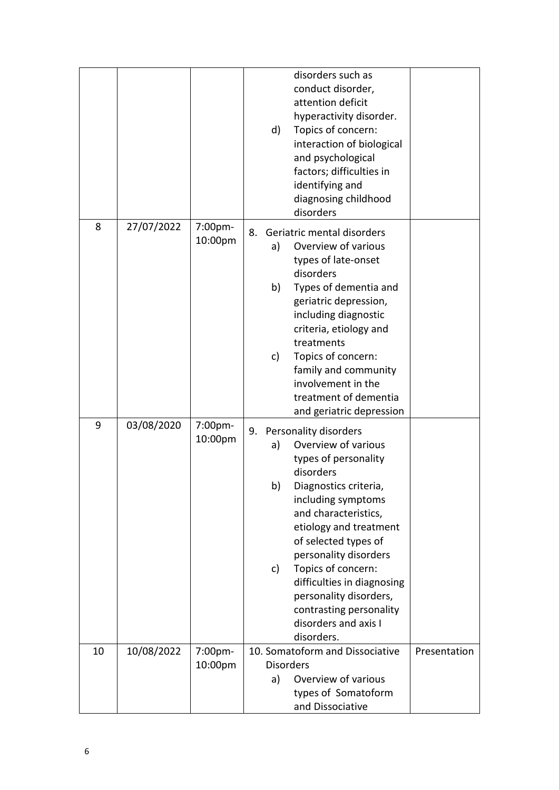|    |            |                    | disorders such as<br>conduct disorder,<br>attention deficit<br>hyperactivity disorder.<br>d)<br>Topics of concern:<br>interaction of biological<br>and psychological<br>factors; difficulties in<br>identifying and<br>diagnosing childhood<br>disorders                                                                                                                                                  |  |
|----|------------|--------------------|-----------------------------------------------------------------------------------------------------------------------------------------------------------------------------------------------------------------------------------------------------------------------------------------------------------------------------------------------------------------------------------------------------------|--|
| 8  | 27/07/2022 | 7:00pm-<br>10:00pm | 8.<br>Geriatric mental disorders<br>Overview of various<br>a)<br>types of late-onset<br>disorders<br>b)<br>Types of dementia and<br>geriatric depression,<br>including diagnostic<br>criteria, etiology and<br>treatments<br>Topics of concern:<br>c)<br>family and community<br>involvement in the<br>treatment of dementia<br>and geriatric depression                                                  |  |
| 9  | 03/08/2020 | 7:00pm-<br>10:00pm | 9.<br>Personality disorders<br>Overview of various<br>a)<br>types of personality<br>disorders<br>Diagnostics criteria<br>b)<br>including symptoms<br>and characteristics,<br>etiology and treatment<br>of selected types of<br>personality disorders<br>Topics of concern:<br>c)<br>difficulties in diagnosing<br>personality disorders,<br>contrasting personality<br>disorders and axis I<br>disorders. |  |
| 10 | 10/08/2022 | 7:00pm-<br>10:00pm | 10. Somatoform and Dissociative<br>Presentation<br><b>Disorders</b><br>Overview of various<br>a)<br>types of Somatoform<br>and Dissociative                                                                                                                                                                                                                                                               |  |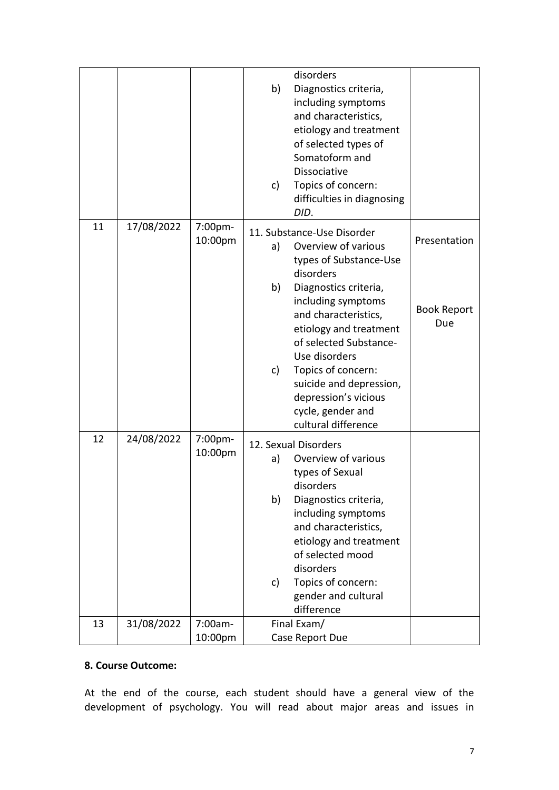|    |            |                    | disorders<br>b)<br>Diagnostics criteria,<br>including symptoms<br>and characteristics,<br>etiology and treatment<br>of selected types of<br>Somatoform and<br><b>Dissociative</b><br>Topics of concern:<br>c)<br>difficulties in diagnosing<br>DID.                                                                                                                         |                                           |
|----|------------|--------------------|-----------------------------------------------------------------------------------------------------------------------------------------------------------------------------------------------------------------------------------------------------------------------------------------------------------------------------------------------------------------------------|-------------------------------------------|
| 11 | 17/08/2022 | 7:00pm-<br>10:00pm | 11. Substance-Use Disorder<br>Overview of various<br>a)<br>types of Substance-Use<br>disorders<br>b)<br>Diagnostics criteria,<br>including symptoms<br>and characteristics,<br>etiology and treatment<br>of selected Substance-<br>Use disorders<br>Topics of concern:<br>c)<br>suicide and depression,<br>depression's vicious<br>cycle, gender and<br>cultural difference | Presentation<br><b>Book Report</b><br>Due |
| 12 | 24/08/2022 | 7:00pm-<br>10:00pm | 12. Sexual Disorders<br>Overview of various<br>a)<br>types of Sexual<br>disorders<br>b)<br>Diagnostics criteria,<br>including symptoms<br>and characteristics,<br>etiology and treatment<br>of selected mood<br>disorders<br>Topics of concern:<br>c)<br>gender and cultural<br>difference                                                                                  |                                           |
| 13 | 31/08/2022 | 7:00am-<br>10:00pm | Final Exam/<br>Case Report Due                                                                                                                                                                                                                                                                                                                                              |                                           |

### **8. Course Outcome:**

At the end of the course, each student should have a general view of the development of psychology. You will read about major areas and issues in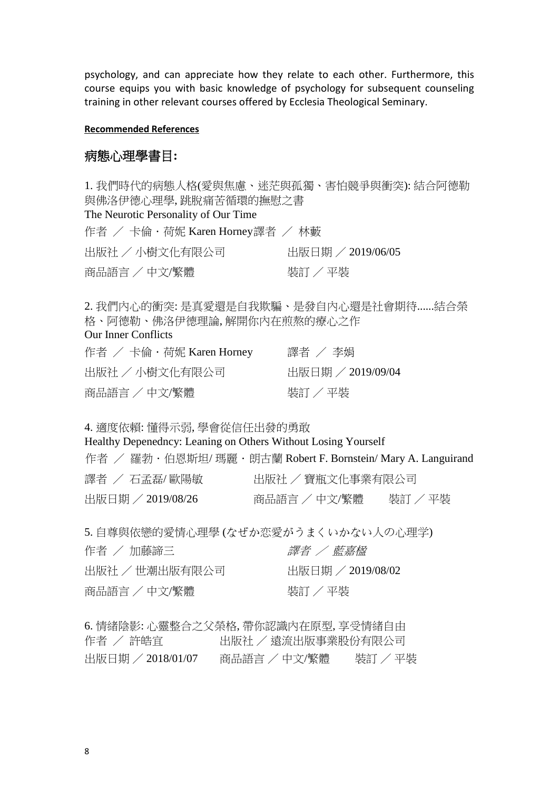psychology, and can appreciate how they relate to each other. Furthermore, this course equips you with basic knowledge of psychology for subsequent counseling training in other relevant courses offered by Ecclesia Theological Seminary.

#### **Recommended References**

#### 病態心理學書目**:**

1. 我們時代的病態人格([愛與焦慮、迷茫與孤獨、害怕競爭與衝突](http://www.eslite.com/Search_BW.aspx?query=我們時代的病態人格(愛與焦慮、迷茫與孤獨、害怕競爭與衝突):%20結合阿德勒與佛洛伊德心理學,%20跳脫痛苦循環的撫慰之書)): 結合阿德勒 與佛洛伊德心理學, [跳脫痛苦循環的撫慰之書](http://www.eslite.com/Search_BW.aspx?query=我們時代的病態人格(愛與焦慮、迷茫與孤獨、害怕競爭與衝突):%20結合阿德勒與佛洛伊德心理學,%20跳脫痛苦循環的撫慰之書) [The Neurotic Personality of Our Time](http://www.eslite.com/Search_BW.aspx?query=The%20Neurotic%20Personality%20of%20Our%20Time)  作者 / 卡倫·荷妮 [Karen Horney](http://www.eslite.com/Search_BW.aspx?query=Karen+Horney)譯者 / [林藪](http://www.eslite.com/Search_BW.aspx?query=%e6%9e%97%e8%97%aa) 出版社 / [小樹文化有限公司](http://www.eslite.com/Search_BW.aspx?query=%e5%b0%8f%e6%a8%b9%e6%96%87%e5%8c%96%e6%9c%89%e9%99%90%e5%85%ac%e5%8f%b8) 出版日期 / 2019/06/05 商品語言 / 中文/繁體 まんじょう リンクスタン 装訂 / 平裝

2. 我們內心的衝突: [是真愛還是自我欺騙、是發自內心還是社會期待](http://www.eslite.com/Search_BW.aspx?query=我們內心的衝突:%20是真愛還是自我欺騙、是發自內心還是社會期待......結合榮格、阿德勒、佛洛伊德理論,%20解開你內在煎熬的療心之作)......結合榮 [格、阿德勒、佛洛伊德理論](http://www.eslite.com/Search_BW.aspx?query=我們內心的衝突:%20是真愛還是自我欺騙、是發自內心還是社會期待......結合榮格、阿德勒、佛洛伊德理論,%20解開你內在煎熬的療心之作), 解開你內在煎熬的療心之作

#### [Our Inner Conflicts](http://www.eslite.com/Search_BW.aspx?query=Our%20Inner%20Conflicts)

| 作者 / 卡倫・荷妮 Karen Horney | 譯者 / 李娟             |
|-------------------------|---------------------|
| 出版社 / 小樹文化有限公司          | - 出版日期 / 2019/09/04 |
| 商品語言 / 中文/繁體            | 装訂 / 平裝             |

4. 適度依賴: 懂得示弱, [學會從信任出發的勇敢](http://www.eslite.com/Search_BW.aspx?query=適度依賴:%20懂得示弱,%20學會從信任出發的勇敢)

[Healthy Depenedncy: Leaning on Others Without Losing Yourself](http://www.eslite.com/Search_BW.aspx?query=Healthy%20Depenedncy:%20Leaning%20on%20Others%20Without%20Losing%20Yourself) 

| 作者 / 羅勃・伯恩斯坦/ 瑪麗・朗古蘭 Robert F. Bornstein/ Mary A. Languirand |                  |         |
|--------------------------------------------------------------|------------------|---------|
| 譯者 / 石孟磊/歐陽敏                                                 | 出版社 / 寶瓶文化事業有限公司 |         |
| 出版日期 / 2019/08/26                                            | 商品語言 / 中文/繁體     | 装訂 / 平裝 |

5. [自尊與依戀的愛情心理學](http://www.eslite.com/Search_BW.aspx?query=自尊與依戀的愛情心理學) ([なぜか恋愛がうまくいかない人の心理学](http://www.eslite.com/Search_BW.aspx?query=なぜか恋愛がうまくいかない人の心理学))

| 作者 / 加藤諦三      | 譯者 / 藍嘉楹          |
|----------------|-------------------|
| 出版社 / 世潮出版有限公司 | 出版日期 / 2019/08/02 |
| 商品語言 / 中文/繁體   | 装訂 / 平裝           |

6. 情緒陰影: [心靈整合之父榮格](http://www.eslite.com/Search_BW.aspx?query=情緒陰影:%20心靈整合之父榮格,%20帶你認識內在原型,%20享受情緒自由), 帶你認識內在原型, 享受情緒自由 作者 / [許皓宜](http://www.eslite.com/Search_BW.aspx?query=%e8%a8%b1%e7%9a%93%e5%ae%9c) マンマン出版社 / [遠流出版事業股份有限公司](http://www.eslite.com/Search_BW.aspx?query=%e9%81%a0%e6%b5%81%e5%87%ba%e7%89%88%e4%ba%8b%e6%a5%ad%e8%82%a1%e4%bb%bd%e6%9c%89%e9%99%90%e5%85%ac%e5%8f%b8) 出版日期 / 2018/01/07 商品語言 / 中文/繁體 裝訂 / 平裝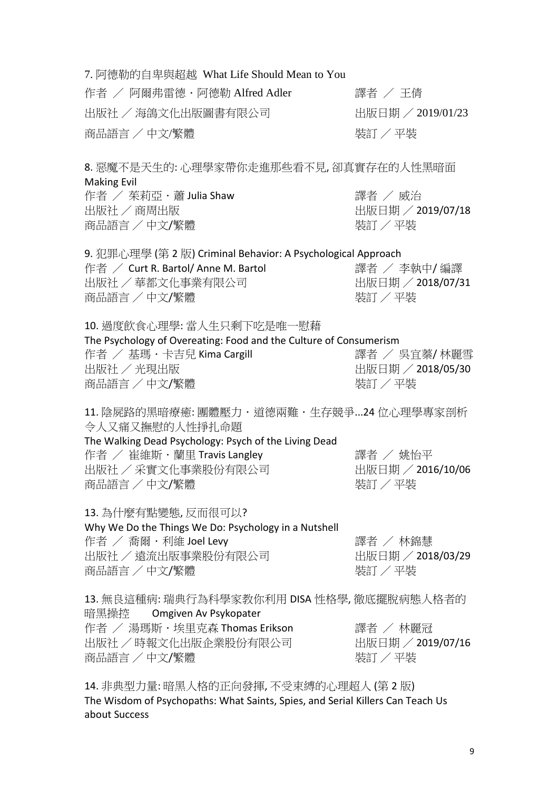7. [阿德勒的自卑與超越](http://www.eslite.com/Search_BW.aspx?query=阿德勒的自卑與超越) [What Life Should Mean to You](http://www.eslite.com/Search_BW.aspx?query=What%20Life%20Should%20Mean%20to%20You)  作者 / 阿爾弗雷德 · 阿德勒 [Alfred Adler](http://www.eslite.com/Search_BW.aspx?query=Alfred+Adler) 赛者 / [王倩](http://www.eslite.com/Search_BW.aspx?query=%e7%8e%8b%e5%80%a9) 出版社 / [海鴿文化出版圖書有限公司](http://www.eslite.com/Search_BW.aspx?query=%e6%b5%b7%e9%b4%bf%e6%96%87%e5%8c%96%e5%87%ba%e7%89%88%e5%9c%96%e6%9b%b8%e6%9c%89%e9%99%90%e5%85%ac%e5%8f%b8) The Team Team Hills (2019/01/23 商品語言 / 中文/繁體 まんじょう しょうしゃ おおし 装訂 / 平裝

8. 惡魔不是天生的: 心理學家帶你走進那些看不見, 卻真實存在的人性黑暗面 Making Evil 作者 / 茱莉亞.蕭 Julia Shaw 譯者 / 威治 出版社 / 商周出版 インド インド インド おおし 出版日期 / 2019/07/18

商品語言 / 中文/繁體 まんじょう インストリック とくしゃ 装訂 / 平裝

9. 犯罪心理學 (第 2 版) Criminal Behavior: A Psychological Approach 作者 / Curt R. Bartol/ Anne M. Bartol 譯者 / 李執中/ 編譯 出版社 / 華都文化事業有限公司 インストリック 出版日期 / 2018/07/31 商品語言 / 中文/繁體 まんじょう インストリック とくしゃ 装訂 / 平裝

10. 過度飲食心理學: 當人生只剩下吃是唯一慰藉 The Psychology of Overeating: Food and the Culture of Consumerism 作者 / 基瑪 · 卡吉兒 Kima Cargill インストン 譯者 / 吳宜蓁/ 林麗雪 出版社 / 光現出版 インド インド インド インド・コード 出版日期 / 2018/05/30 商品語言 / 中文/繁體 まんじょう しょうしゃ キャンク 装訂 / 平裝

11. 陰屍路的黑暗療癒: 團體壓力·道德兩難·生存競爭...24 位心理學專家剖析 令人又痛又撫慰的人性掙扎命題

### The Walking Dead Psychology: Psych of the Living Dead 作者 / 崔維斯.蘭里 Travis Langley 譯者 / 姚怡平 出版社 / 采實文化事業股份有限公司 出版日期 / 2016/10/06 商品語言 / 中文/繁體 まんない インストリック とくしゃ 装訂 / 平装

13. 為什麼有點變態, 反而很可以? Why We Do the Things We Do: Psychology in a Nutshell 作者 / 喬爾·利維 Joel Levy インチング さいちょう 譯者 / 林錦慧 出版社 / 遠流出版事業股份有限公司 出版日期 / 2018/03/29 商品語言 / 中文/繁體 まんじょう しょうしゃ リンクスタック 装訂 / 平裝

13. 無良這種病: 瑞典行為科學家教你利用 DISA 性格學, 徹底擺脫病態人格者的 暗黑操控 Omgiven Av Psykopater 作者 / 湯瑪斯·埃里克森 Thomas Erikson 譯者 / 林麗冠<br>出版社 / 時報文化出版企業股份有限公司 出版日期 / 2019/07/16 出版社 / 時報文化出版企業股份有限公司 商品語言 / 中文/繁體  $\frac{1}{3}$  / 平裝

14. 非典型力量: 暗黑人格的正向發揮, 不受束縛的心理超人 (第 2 版) The Wisdom of Psychopaths: What Saints, Spies, and Serial Killers Can Teach Us about Success